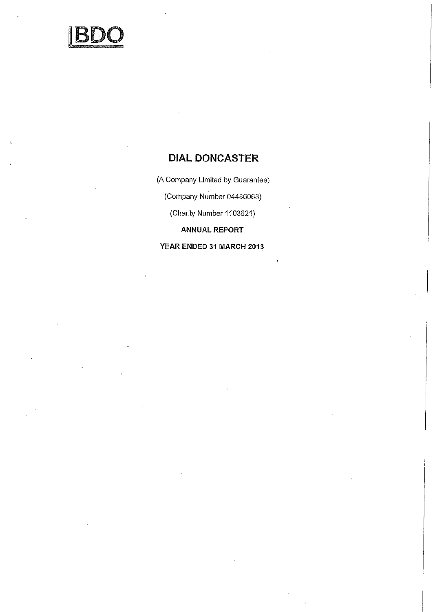

(A Company Limited by Guarantee)

(Company Number 04436063)

(Charity Number 1103621)

ANNUAL REPORT

YEAR ENDED 31 MARCH 2013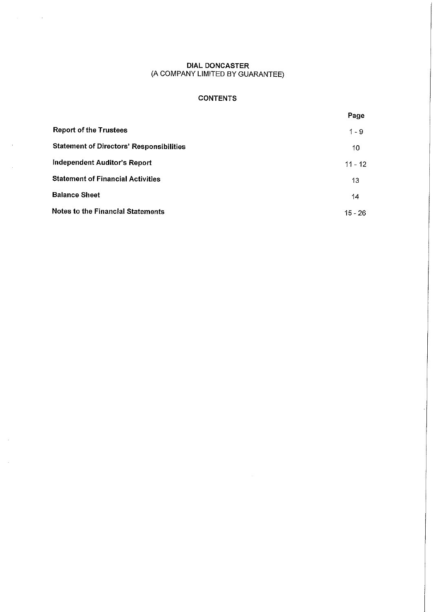$\lambda_{\rm{max}}=0.5$ 

 $\bar{\phantom{a}}$ 

 $\sim$ 

# CONTENTS

|                                                 | Page      |
|-------------------------------------------------|-----------|
| <b>Report of the Trustees</b>                   | $1 - 9$   |
| <b>Statement of Directors' Responsibilities</b> | 10        |
| Independent Auditor's Report                    | $11 - 12$ |
| <b>Statement of Financial Activities</b>        | 13        |
| <b>Balance Sheet</b>                            | 14        |
| <b>Notes to the Financial Statements</b>        | $15 - 26$ |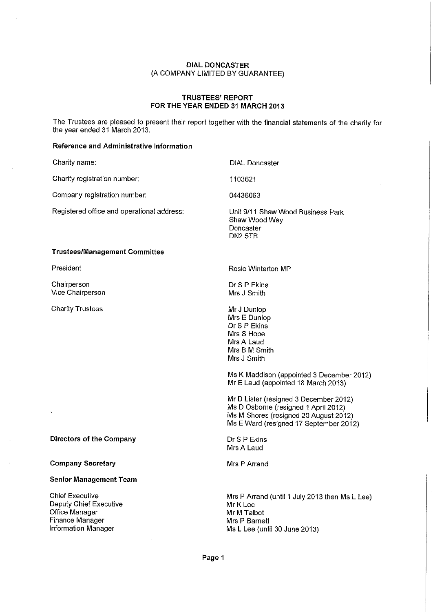# TRUSTEES' REPORT FOR THE YEAR ENDED 31 MARCH 2013

The Trustees are pleased to present their report together with the financial statements of the charity for the year ended 31 March 2013.

# Reference and Administrative Information

 $\overline{1}$ 

| Charity name:                                                                                                | <b>DIAL Doncaster</b>                                                                                                                                                                       |
|--------------------------------------------------------------------------------------------------------------|---------------------------------------------------------------------------------------------------------------------------------------------------------------------------------------------|
| Charity registration number:                                                                                 | 1103621                                                                                                                                                                                     |
| Company registration number:                                                                                 | 04436063                                                                                                                                                                                    |
| Registered office and operational address:                                                                   | Unit 9/11 Shaw Wood Business Park<br>Shaw Wood Way<br>Doncaster<br>DN2 5TB                                                                                                                  |
| <b>Trustees/Management Committee</b>                                                                         |                                                                                                                                                                                             |
| President                                                                                                    | Rosie Winterton MP                                                                                                                                                                          |
| Chairperson<br>Vice Chairperson                                                                              | Dr S P Ekins<br>Mrs J Smith                                                                                                                                                                 |
| <b>Charity Trustees</b>                                                                                      | Mr J Dunlop<br>Mrs E Dunlop<br>Dr S P Ekins<br>Mrs S Hope<br>Mrs A Laud<br>Mrs B M Smith<br>Mrs J Smith<br>Ms K Maddison (appointed 3 December 2012)<br>Mr E Laud (appointed 18 March 2013) |
|                                                                                                              | Mr D Lister (resigned 3 December 2012)<br>Ms D Osborne (resigned 1 April 2012)<br>Ms M Shores (resigned 20 August 2012)<br>Ms E Ward (resigned 17 September 2012)                           |
| <b>Directors of the Company</b>                                                                              | Dr S P Ekins<br>Mrs A Laud                                                                                                                                                                  |
| <b>Company Secretary</b>                                                                                     | Mrs P Arrand                                                                                                                                                                                |
| <b>Senior Management Team</b>                                                                                |                                                                                                                                                                                             |
| <b>Chief Executive</b><br>Deputy Chief Executive<br>Office Manager<br>Finance Manager<br>Information Manager | Mrs P Arrand (until 1 July 2013 then Ms L Lee)<br>Mr K Lee<br>Mr M Talbot<br>Mrs P Barnett<br>Ms L Lee (until 30 June 2013)                                                                 |

Page 1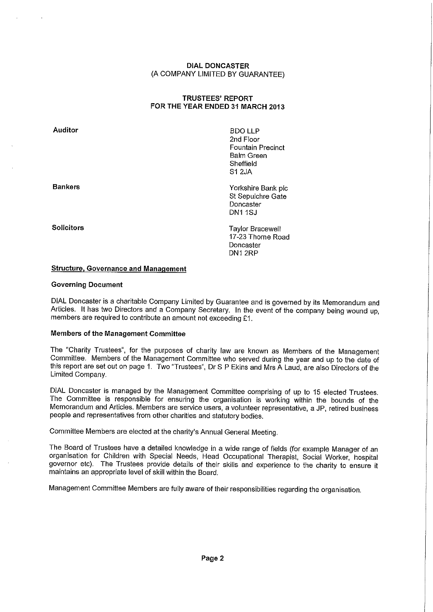# TRUSTEES' REPORT FOR THE YEAR ENDED 31 MARCH 2013

Auditor

Bankers

Solicitors

BDO LLP 2nd Floor Fountain Precinct Balm Green Sheffield Si 2JA

Yorkshire Bank plc St Sepulchre Gate Doncaster DN1 1SJ

Taylor Bracewell 17-23 Thorne Road **Doncaster** DN1 2RP

#### **Structure, Governance and Management**

#### Governing Document

DIAL Doncaster is a charitable Company Limited by Guarantee and is governed by its Memorandum and Articles. It has two Directors and a Company Secretary. In the event of the company being wound up, members are required to contribute an amount not exceeding £1.

### Members of the Management Committee

The "Charity Trustees", for the purposes of charity law are known as Members of the Management Committee. Members of the Management Committee who served during the year and up to the date of this report are set out on page 1. Two "Trustees", Dr S P Ekins and Mrs A Laud, are also Directors of the Limited Company.

DIAL Doncaster is managed by the Management Committee comprising of up to 15 elected Trustees. The Committee is responsible for ensuring the organisation is working within the bounds of the Memorandum and Articles. Members are service users, a volunteer representative, a JP, retired business people and representatives from other charities and statutory bodies.

Committee Members are elected at the charity's Annual General Meeting.

The Board of Trustees have a detailed knowledge in a wide range of fields (for example Manager of an organisation for Children with Special Needs, Head Occupational Therapist, Social Worker, hospital governor etc). The Trustees provide details of their skills and experience to the charity to ensure it maintains an appropriate level of skill within the Board.

Management Committee Members are fully aware of their responsibilities regarding the organisation.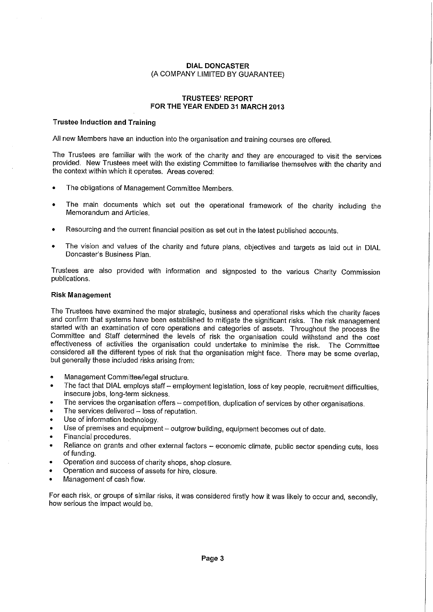#### **TRUSTEES' REPORT FOR THE YEAR ENDED 31 MARCH** 2013

#### Trustee Induction and Training

All new Members have an induction into the organisation and training courses are offered.

The Trustees are familiar with the work of the charity and they are encouraged to visit the services provided. New Trustees meet with the existing Committee to familiarise themselves with the charity and the context within which it operates. Areas covered:

- The obligations of Management Committee Members.
- The main documents which set out the operational framework of the charity including the Memorandum and Articles.
- Resourcing and the current financial position as set out in the latest published accounts.
- The vision and values of the charity and future plans, objectives and targets as laid out in DIAL Doncaster's Business Plan.

Trustees are also provided with information and signposted to the various Charity Commission publications.

#### **Risk Management**

The Trustees have examined the major strategic, business and operational risks which the charity faces and confirm that systems have been established to mitigate the significant risks. The risk management started with an examination of core operations and categories of assets. Throughout the process the Committee and Staff determined the levels of risk the organisation could withstand and the cost effectiveness of activities the organisation could undertake to minimise the risk. The Committee considered all the different types of risk that the organisation might face. There may be some overlap, but generally these included risks arising from:

- Management Committee/legal structure.
- The fact that DIAL employs staff employment legislation, loss of key people, recruitment difficulties, insecure jobs, long-term sickness.
- The services the organisation offers competition, duplication of services by other organisations.
- The services delivered loss of reputation.
- Use of information technology.
- Use of premises and equipment outgrow building, equipment becomes out of date.
- Financial procedures.
- Reliance on grants and other external factors economic climate, public sector spending cuts, loss of funding.
- Operation and success of charity shops, shop closure.
- Operation and success of assets for hire, closure.
- Management of cash flow.

For each risk, or groups of similar risks, it was considered firstly how it was likely to occur and, secondly, how serious the impact would be.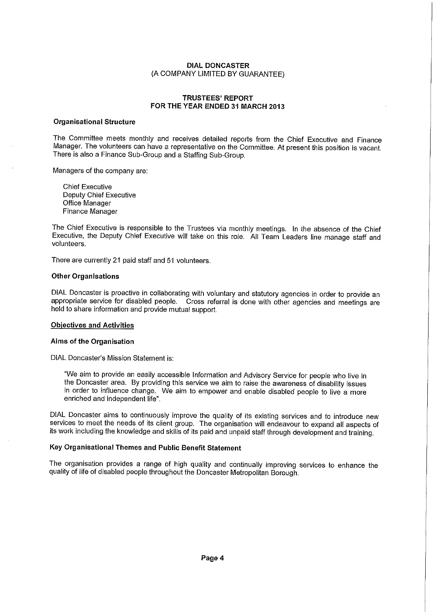#### TRUSTEES' REPORT FOR THE YEAR ENDED 31 MARCH 2013

# Organisational Structure

The Committee meets monthly and receives detailed reports from the Chief Executive and Finance Manager. The volunteers can have a representative on the Committee. At present this position is vacant. There is also a Finance Sub-Group and a Staffing Sub-Group.

Managers of the company are:

Chief Executive Deputy Chief Executive Office Manager Finance Manager

The Chief Executive is responsible to the Trustees via monthly meetings. In the absence of the Chief Executive, the Deputy Chief Executive will take on this role. All Team Leaders line manage staff and volunteers.

There are currently 21 paid staff and 51 volunteers.

#### Other Organisations

DIAL Doncaster is proactive in collaborating with voluntary and statutory agencies in order to provide an appropriate service for disabled people. Cross referral is done with other agencies and meetings are held to share information and provide mutual support.

#### Objectives and Activities

#### Aims of the Organisation

DIAL Doncaster's Mission Statement is:

We aim to provide an easily accessible Information and Advisory Service for people who live in the Doncaster area. By providing this service we aim to raise the awareness of disability issues in order to influence change. We aim to empower and enable disabled people to live a more enriched and independent life".

DIAL Doncaster aims to continuously improve the quality of its existing services and to introduce new services to meet the needs of its client group. The organisation will endeavour to expand all aspects of its work including the knowledge and skills of its paid and unpaid staff through development and training.

#### Key Organisational Themes and Public Benefit Statement

The organisation provides a range of high quality and continually improving services to enhance the quality of life of disabled people throughout the Doncaster Metropolitan Borough.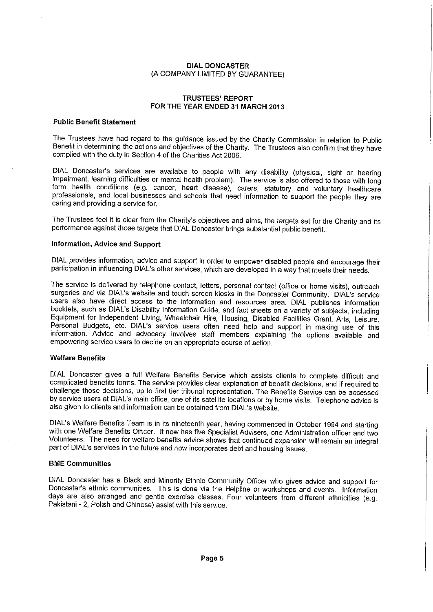#### TRUSTEES' REPORT FOR THE YEAR ENDED 31 MARCH 2013

#### Public Benefit Statement

The Trustees have had regard to the guidance issued by the Charity Commission in relation to Public Benefit in determining the actions and objectives of the Charity. The Trustees also confirm that they have complied with the duty in Section 4 of the Charities Act 2006.

DIAL Doncaster's services are available to people with any disability (physical, sight or hearing impairment, learning difficulties or mental health problem). The service is also offered to those with long term health conditions (e.g. cancer, heart disease), carers, statutory and voluntary healthcare professionals, and local businesses and schools that need information to support the people they are caring and providing a service for.

The Trustees feel it is clear from the Charity's objectives and aims, the targets set for the Charity and its performance against those targets that DIAL Doncaster brings substantial public benefit.

#### Information, Advice and Support

DIAL provides information, advice and support in order to empower disabled people and encourage their participation in influencing DIAL's other services, which are developed in a way that meets their needs.

The service is delivered by telephone contact, letters, personal contact (office or home visits), outreach surgeries and via DIAL's website and touch screen kiosks in the Doncaster Community. DIAL's service users also have direct access to the information and resources area. DIAL publishes information booklets, such as DIAL's Disability Information Guide, and fact sheets on a variety of subjects, including Equipment for Independent Living, Wheelchair Hire, Housing, Disabled Facilities Grant, Arts, Leisure, Personal Budgets, etc. DIAL's service users often need help and support in making use of this information. Advice and advocacy involves staff members explaining the options available and empowering service users to decide on an appropriate course of action.

#### Welfare Benefits

DIAL Doncaster gives a full Welfare Benefits Service which assists clients to complete difficult and complicated benefits forms. The service provides clear explanation of benefit decisions, and if required to challenge those decisions, up to first tier tribunal representation. The Benefits Service can be accessed by service users at DIAL's main office, one of its satellite locations or by home visits. Telephone advice is also given to clients and information can be obtained from DIAL's website.

DIAL's Welfare Benefits Team is in its nineteenth year, having commenced in October 1994 and starting with one Welfare Benefits Officer. It now has five Specialist Advisers, one Administration officer and two Volunteers. The need for welfare benefits advice shows that continued expansion will remain an integral part of DIAL's services in the future and now incorporates debt and housing issues.

#### BME Communities

DIAL Doncaster has a Black and Minority Ethnic Community Officer who gives advice and support for Doncaster's ethnic communities. This is done via the Helpline or workshops and events. Information days are also arranged and gentle exercise classes. Four volunteers from different ethnicities (e.g. Pakistani -2, Polish and Chinese) assist with this service.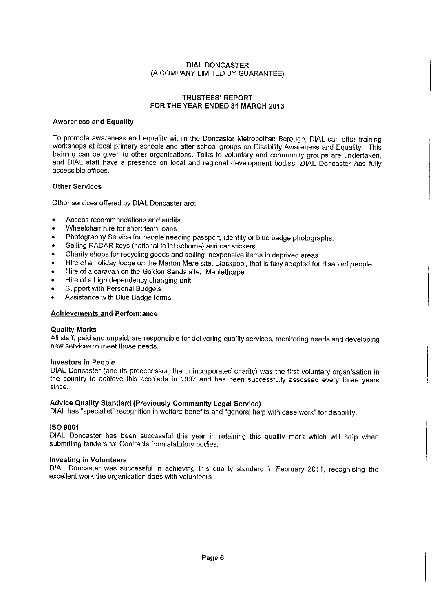### **TRUSTEES' REPORT FOR THE YEAR ENDED 31 MARCH 2013**

#### **Awareness and Equality**

To promote awareness and equality within the Doncaster Metropolitan Borough, DIAL can offer training workshops at local primary schools and after-school groups on Disability Awareness and Equality. This training can be given to other organisations. Talks to voluntary and community groups are undertaken, and DIAL staff have a presence on local and regional development bodies. DIAL Doncaster has fully accessible offices.

#### **Other Services**

Other services offered by DIAL Doncaster are:

- Access recommendations and audits
- Wheelchair hire for short term loans
- Photography Service for people needing passport, identity or blue badge photographs.
- Selling RADAR keys (national toilet scheme) and car stickers
- Charity shops for recycling goods and selling inexpensive items in deprived areas
- Hire of a holiday lodge on the Marton Mere site, Blackpool, that is fully adapted for disabled people
- Hire of a caravan on the Golden Sands site, Mablethorpe
- Hire of a high dependency changing unit
- Support with Personal Budgets
- Assistance with Blue Badge forms.

### **Achievements and Performance**

#### **Quality Marks**

All staff, paid and unpaid, are responsible for delivering quality services, monitoring needs and developing new services to meet those needs.

#### **Investors in People**

DIAL Doncaster (and its predecessor, the unincorporated charity) was the first voluntary organisation in the country to achieve this accolade in 1997 and has been successfully assessed every three years since.

### **Advice Quality Standard (Previously Community Legal Service)**

DIAL has "specialist" recognition in welfare benefits and "general help with case work" for disability.

#### **ISO 9001**

DIAL Doncaster has been successful this year in retaining this quality mark which will help when submitting tenders for Contracts from statutory bodies.

#### **Investing in Volunteers**

DIAL Doncaster was successful in achieving this quality standard in February 2011, recognising the excellent work the organisation does with volunteers.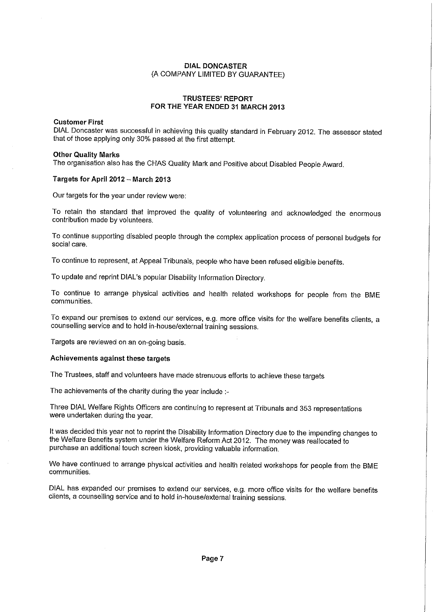#### TRUSTEES' REPORT FOR THE YEAR ENDED 31 MARCH 2013

#### Customer First

DIAL Doncaster was successful in achieving this quality standard in February 2012. The assessor stated that of those applying only 30% passed at the first attempt.

#### Other Quality Marks

The organisation also has the CHAS Quality Mark and Positive about Disabled People Award.

#### Targets for April 2012— March 2013

Our targets for the year under review were:

To retain the standard that improved the quality of volunteering and acknowledged the enormous contribution made by volunteers.

To continue supporting disabled people through the complex application process of personal budgets for social care.

To continue to represent, at Appeal Tribunals, people who have been refused eligible benefits.

To update and reprint DIAL's popular Disability Information Directory.

To continue to arrange physical activities and health related workshops for people from the BME communities.

To expand our premises to extend our services, e.g. more office visits for the welfare benefits clients, a counselling service and to hold in-house/external training sessions.

Targets are reviewed on an on-going basis.

#### Achievements against these targets

The Trustees, staff and volunteers have made strenuous efforts to achieve these targets

The achievements of the charity during the year include :-

Three DIAL Welfare Rights Officers are continuing to represent at Tribunals and 353 representations were undertaken during the year.

It was decided this year not to reprint the Disability Information Directory due to the impending changes to the Welfare Benefits system under the Welfare Reform Act 2012. The money was reallocated to purchase an additional touch screen kiosk, providing valuable information.

We have continued to arrange physical activities and health related workshops for people from the BME communities.

DIAL has expanded our premises to extend our services, e.g. more office visits for the welfare benefits clients, a counselling service and to hold in-house/external training sessions.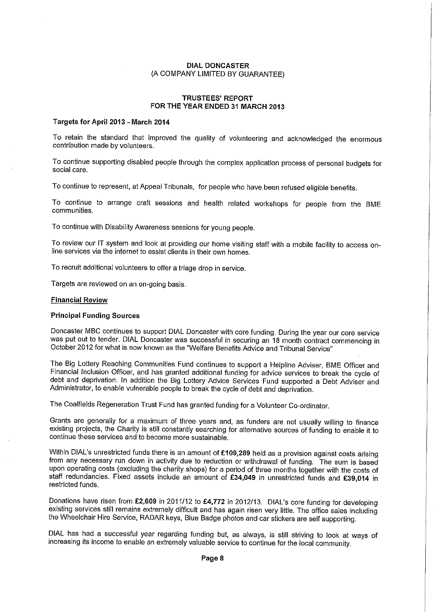#### **TRUSTEES' REPORT FOR THE YEAR ENDED 31 MARCH 2013**

#### **Targets for April 2013- March 2014**

To retain the standard that improved the quality of volunteering and acknowledged the enormous contribution made by volunteers.

To continue supporting disabled people through the complex application process of personal budgets for social care.

To continue to represent, at Appeal Tribunals, for people who have been refused eligible benefits.

To continue to arrange craft sessions and health related workshops for people from the BME communities.

To continue with Disability Awareness sessions for young people.

To review our IT system and look at providing our home visiting staff with a mobile facility to access online services via the internet to assist clients in their own homes.

To recruit additional volunteers to offer a triage drop in service.

Targets are reviewed on an on-going basis.

#### **Financial Review**

#### **Principal Funding Sources**

Doncaster MBC continues to support DIAL Doncaster with core funding. During the year our core service was put out to tender. DIAL Doncaster was successful in securing an 18 month contract commencing in October 2012 for what is now known as the "Welfare Benefits Advice and Tribunal Service"

The Big Lottery Reaching Communities Fund continues to support a Helpline Adviser, BME Officer and Financial Inclusion Officer, and has granted additional funding for advice services to break the cycle of debt and deprivation. In addition the Big Lottery Advice Services Fund supported a Debt Adviser and Administrator, to enable vulnerable people to break the cycle of debt and deprivation.

The Coalfields Regeneration Trust Fund has granted funding for a Volunteer Co-ordinator.

Grants are generally for a maximum of three years and, as funders are not usually willing to finance existing projects, the Charity is still constantly searching for alternative sources of funding to enable it to continue these services and to become more sustainable.

Within DIAL's unrestricted funds there is an amount of **£109,289** held as a provision against costs arising from any necessary run down in activity due to reduction or withdrawal of funding. The sum is based upon operating costs (excluding the charity shops) for a period of three months together with the costs of staff redundancies. Fixed assets include an amount of **£34,049** in unrestricted funds and **£39,014** in restricted funds.

Donations have risen from **£2,609** in 2011/12 to **£4,772** in 2012/13. DIAL's core funding for developing existing services still remains extremely difficult and has again risen very little. The office sales including the Wheelchair Hire Service, RADAR keys, Blue Badge photos and car stickers are self supporting.

DIAL has had a successful year regarding funding but, as always, is still striving to look at ways of increasing its income to enable an extremely valuable service to continue for the local community.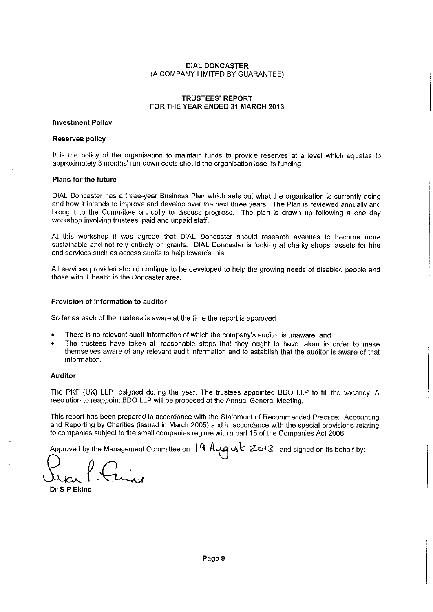#### TRUSTEES' REPORT FOR THE YEAR ENDED 31 MARCH 2013

#### **Investment Policy**

#### Reserves policy

It is the policy of the organisation to maintain funds to provide reserves at a level which equates to approximately 3 months' run-down costs should the organisation lose its funding.

#### Plans for the future

DIAL Doncaster has a three-year Business Plan which sets out what the organisation is currently doing and how it intends to improve and develop over the next three years. The Plan is reviewed annually and brought to the Committee annually to discuss progress. The plan is drawn up following a one day workshop involving trustees, paid and unpaid staff.

At this workshop it was agreed that DIAL Doncaster should research avenues to become more sustainable and not rely entirely on grants. DIAL Doncaster is looking at charity shops, assets for hire and services such as access audits to help towards this.

All services provided should continue to be developed to help the growing needs of disabled people and those with ill health in the Doncaster area.

#### Provision of information to auditor

So far as each of the trustees is aware at the time the report is approved

- There is no relevant audit information of which the company's auditor is unaware; and
- The trustees have taken all reasonable steps that they ought to have taken in order to make themselves aware of any relevant audit information and to establish that the auditor is aware of that information.

#### Auditor

The PKF (UK) LLP resigned during the year. The trustees appointed BDO LLP to fill the vacancy. A resolution to reappoint BDO LLP will be proposed at the Annual General Meeting.

This report has been prepared in accordance with the Statement of Recommended Practice: Accounting and Reporting by Charities (issued in March 2005) and in accordance with the special provisions relating to companies subject to the small companies regime within part 15 of the Companies Act 2006.

Approved by the Management Committee on  $\int$  A August  $z$  and signed on its behalf by:

Dr S P Ekins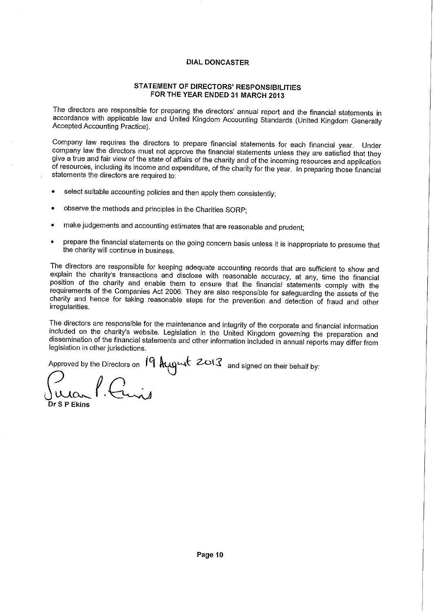# **STATEMENT OF DIRECTORS' RESPONSIBILITIES FOR THE YEAR ENDED 31 MARCH 2013**

The directors are responsible for preparing the directors' annual report and the financial statements in accordance with applicable law and United Kingdom Accounting Standards (United Kingdom Generally Accepted Accounting Practice).

Company law requires the directors to prepare financial statements for each financial year. Under company law the directors must not approve the financial statements unless they are satisfied that they give a true and fair view of the state of affairs of the charity and of the incoming resources and application of resources, including its income and expenditure, of the charity for the year. In preparing those financial statements the directors are required to:

- select suitable accounting policies and then apply them consistently;
- observe the methods and principles in the Charities SORP;
- make judgements and accounting estimates that are reasonable and prudent;
- prepare the financial statements on the going concern basis unless it is inappropriate to presume that the charity will continue in business.

The directors are responsible for keeping adequate accounting records that are sufficient to show and explain the charity's transactions and disclose with reasonable accuracy, at any, time the financial position of the charity and enable them to ensure that the financial statements comply with the requirements of the Companies Act 2006. They are also responsible for safeguarding the assets of the charity and hence for taking reasonable steps for the prevention and detection of fraud and other irregularities.

The directors are responsible for the maintenance and integrity of the corporate and financial information included on the charity's website. Legislation in the United Kingdom governing the preparation and dissemination of the financial statements and other information included in annual reports may differ from legislation in other jurisdictions.

Approved by the Directors on  $19 \text{ August}$  2013 and signed on their behalf by:

**e • Dr S P Ekins**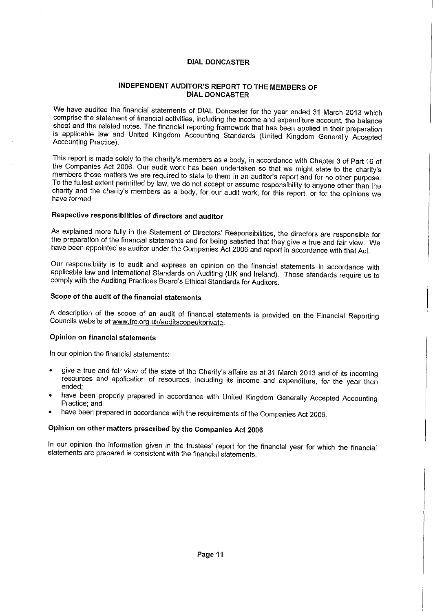# **INDEPENDENT AUDITOR'S REPORT TO THE MEMBERS OF DIAL DONCASTER**

We have audited the financial statements of DIAL Doncaster for the year ended 31 March 2013 which comprise the statement of financial activities, including the income and expenditure account, the balance sheet and the related notes. The financial reporting framework that has been applied in their preparation is applicable law and United Kingdom Accounting Standards (United Kingdom Generally Accepted Accounting Practice).

This report is made solely to the charity's members as a body, in accordance with Chapter 3 of Part 16 of the Companies Act 2006. Our audit work has been undertaken so that we might state to the charity's members those matters we are required to state to them in an auditor's report and for no other purpose. To the fullest extent permitted by law, we do not accept or assume responsibility to anyone other than the charity and the charity's members as a body, for our audit work, for this report, or for the opinions we have formed.

# **Respective responsibilities of directors and auditor**

As explained more fully in the Statement of Directors' Responsibilities, the directors are responsible for the preparation of the financial statements and for being satisfied that they give a true and fair view. We have been appointed as auditor under the Companies Act 2006 and report in accordance with that Act.

Our responsibility is to audit and express an opinion on the financial statements in accordance with applicable law and International Standards on Auditing (UK and Ireland). Those standards require us to comply with the Auditing Practices Board's Ethical Standards for Auditors.

# **Scope of the audit of the financial statements**

A description of the scope of an audit of financial statements is provided on the Financial Reporting Councils website at www.frc.org.uk/auditscopeukprivate.

### **Opinion on financial statements**

In our opinion the financial statements:

- give a true and fair view of the state of the Charity's affairs as at 31 March 2013 and of its incoming resources and application of resources, including its income and expenditure, for the year then ended;
- have been properly prepared in accordance with United Kingdom Generally Accepted Accounting Practice; and
- have been prepared in accordance with the requirements of the Companies Act 2006.

# **Opinion on other matters prescribed by the Companies Act 2006**

In our opinion the information given in the trustees' report for the financial year for which the financial statements are prepared is consistent with the financial statements.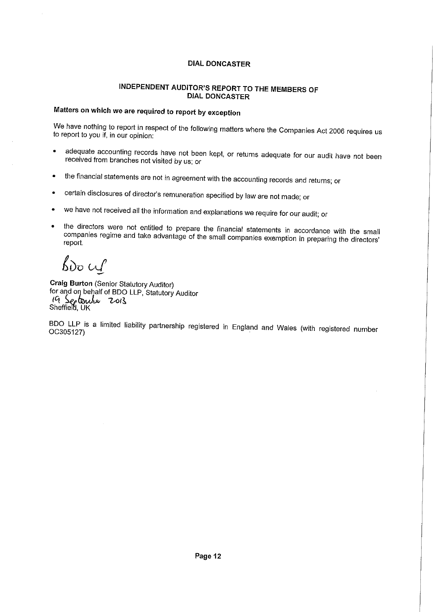# INDEPENDENT AUDITOR'S REPORT TO THE MEMBERS OF DIAL DONCASTER

# Matters on which we are required to report by exception

We have nothing to report in respect of the following matters where the Companies Act 2006 requires us to report to you if, in our opinion:

- adequate accounting records have not been kept, or returns adequate for our audit have not been received from branches not visited by us; or
- the financial statements are not in agreement with the accounting records and returns; or
- certain disclosures of director's remuneration specified by law are not made; or
- we have not received all the information and explanations we require for our audit; or
- the directors were not entitled to prepare the financial statements in accordance with the small companies regime and take advantage of the small companies exemption in preparing the directors' report.

 $b$ *bo*  $\omega$ 

Craig Burton (Senior Statutory Auditor) for and on behalf of BDO LLP, Statutory Auditor 19 September 2013

BDO LLP is a limited liability partnership registered in England and Wales (with registered number 0C305127)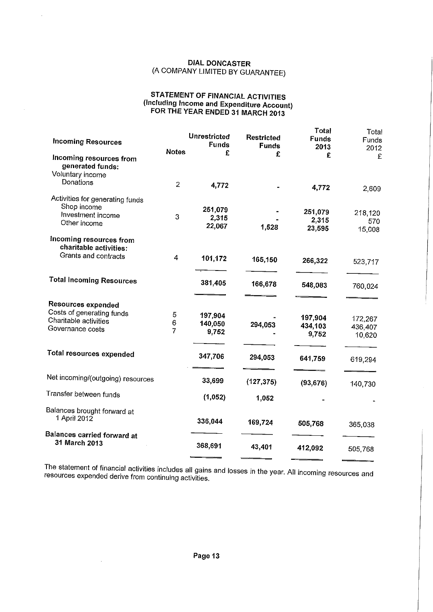# **STATEMENT OF FINANCIAL ACTIVITIES (Including Income and Expenditure Account) FOR THE YEAR ENDED 31 MARCH 2013**

 $\bar{z}$ 

| <b>Incoming Resources</b>                                       |                | <b>Unrestricted</b><br><b>Funds</b> | Restricted<br><b>Funds</b> | <b>Total</b><br><b>Funds</b><br>2013 | Total<br>Funds<br>2012 |
|-----------------------------------------------------------------|----------------|-------------------------------------|----------------------------|--------------------------------------|------------------------|
| Incoming resources from<br>generated funds:<br>Voluntary income | <b>Notes</b>   | £                                   | £                          | £                                    | £                      |
| Donations                                                       | $\overline{2}$ | 4,772                               |                            | 4,772                                | 2,609                  |
| Activities for generating funds<br>Shop income                  |                |                                     |                            |                                      |                        |
| Investment income                                               |                | 251,079                             |                            | 251,079                              | 218,120                |
| Other income                                                    | 3              | 2,315                               |                            | 2,315                                | 570                    |
|                                                                 |                | 22,067                              | 1,528                      | 23,595                               | 15,008                 |
| Incoming resources from<br>charitable activities:               |                |                                     |                            |                                      |                        |
| Grants and contracts                                            | 4              | 101,172                             | 165,150                    | 266,322                              | 523,717                |
| <b>Total Incoming Resources</b>                                 |                | 381,405                             | 166,678                    | 548,083                              | 760,024                |
| Resources expended                                              |                |                                     |                            |                                      |                        |
| Costs of generating funds                                       | 5              | 197,904                             |                            |                                      |                        |
| Charitable activities                                           | 6              | 140,050                             | 294,053                    | 197,904                              | 172,267                |
| Governance costs                                                | $\overline{7}$ | 9,752                               |                            | 434,103                              | 436,407                |
|                                                                 |                |                                     |                            | 9,752                                | 10,620                 |
| Total resources expended                                        |                | 347,706                             | 294,053                    | 641,759                              | 619,294                |
| Net incoming/(outgoing) resources                               |                | 33,699                              | (127, 375)                 | (93, 676)                            | 140,730                |
| Transfer between funds                                          |                | (1,052)                             | 1,052                      |                                      |                        |
| Balances brought forward at<br>1 April 2012                     |                | 336,044                             | 169,724                    | 505,768                              | 365,038                |
| Balances carried forward at                                     |                |                                     |                            |                                      |                        |
| 31 March 2013                                                   |                | 368,691                             | 43,401                     | 412,092                              | 505,768                |

The statement of financial activities includes all gains and losses in the year. All incoming resources and resources expended derive from continuing activities.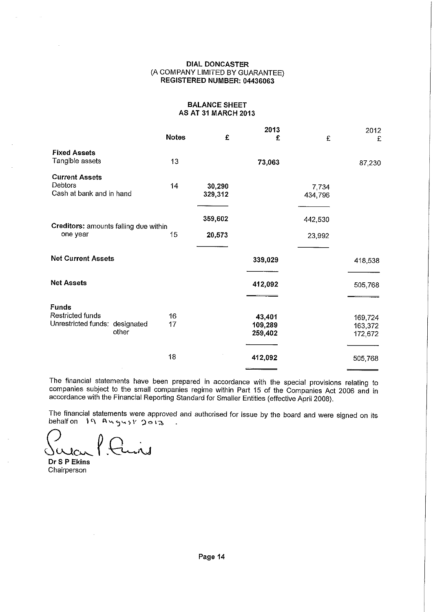### **DIAL DONCASTER**  (A COMPANY LIMITED BY GUARANTEE) **REGISTERED NUMBER: 04436063**

#### **BALANCE SHEET AS AT 31 MARCH 2013**

|                                       |              |         | 2013    |         | 2012    |
|---------------------------------------|--------------|---------|---------|---------|---------|
|                                       | <b>Notes</b> | £       | £       | £       | £       |
| <b>Fixed Assets</b>                   |              |         |         |         |         |
| Tangible assets                       | 13           |         | 73,063  |         | 87,230  |
| <b>Current Assets</b>                 |              |         |         |         |         |
| <b>Debtors</b>                        | 14           | 30,290  |         | 7,734   |         |
| Cash at bank and in hand              |              | 329,312 |         | 434,796 |         |
|                                       |              |         |         |         |         |
|                                       |              | 359,602 |         |         |         |
| Creditors: amounts falling due within |              |         |         | 442,530 |         |
| one year                              | 15           | 20,573  |         | 23,992  |         |
|                                       |              |         |         |         |         |
| <b>Net Current Assets</b>             |              |         | 339,029 |         | 418,538 |
|                                       |              |         |         |         |         |
| <b>Net Assets</b>                     |              |         | 412,092 |         | 505,768 |
|                                       |              |         |         |         |         |
| <b>Funds</b>                          |              |         |         |         |         |
| Restricted funds                      | 16           |         | 43,401  |         | 169,724 |
| Unrestricted funds: designated        | 17           |         | 109,289 |         | 163,372 |
| other                                 |              |         | 259,402 |         |         |
|                                       |              |         |         |         | 172,672 |
|                                       | 18           |         | 412,092 |         |         |
|                                       |              |         |         |         | 505,768 |

The financial statements have been prepared in accordance with the special provisions relating to companies subject to the small companies regime within Part 15 of the Companies Act 2006 and in accordance with the Financial Reporting Standard for Smaller Entities (effective April 2008).

The financial statements were approved and authorised for issue by the board and were signed on its behalf on 19 August 2013

 $100$ ۱ü

**Dr S P Ekins**  Chairperson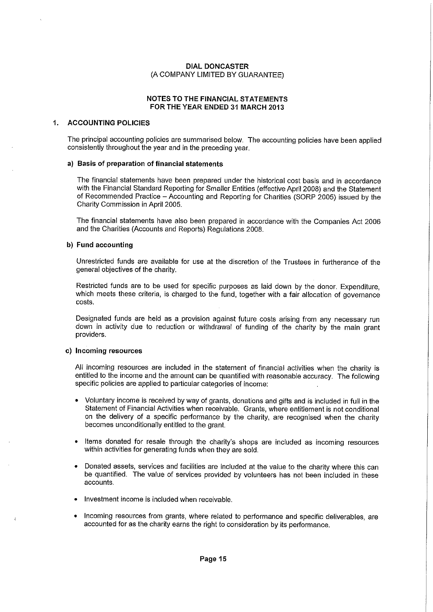#### NOTES TO THE FINANCIAL STATEMENTS FOR THE YEAR ENDED 31 MARCH 2013

#### 1. ACCOUNTING POLICIES

The principal accounting policies are summarised below. The accounting policies have been applied consistently throughout the year and in the preceding year.

#### a) Basis of preparation of financial statements

The financial statements have been prepared under the historical cost basis and in accordance with the Financial Standard Reporting for Smaller Entities (effective April 2008) and the Statement of Recommended Practice — Accounting and Reporting for Charities (SORP 2005) issued by the Charity Commission in April 2005.

The financial statements have also been prepared in accordance with the Companies Act 2006 and the Charities (Accounts and Reports) Regulations 2008.

#### b) Fund accounting

Unrestricted funds are available for use at the discretion of the Trustees in furtherance of the general objectives of the charity.

Restricted funds are to be used for specific purposes as laid down by the donor. Expenditure, which meets these criteria, is charged to the fund, together with a fair allocation of governance costs.

Designated funds are held as a provision against future costs arising from any necessary run down in activity due to reduction or withdrawal of funding of the charity by the main grant providers.

#### c) Incoming resources

 $\ell$ 

All incoming resources are included in the statement of financial activities when the charity is entitled to the income and the amount can be quantified with reasonable accuracy. The following specific policies are applied to particular categories of income:

- Voluntary income is received by way of grants, donations and gifts and is included in full in the Statement of Financial Activities when receivable. Grants, where entitlement is not conditional on the delivery of a specific performance by the charity, are recognised when the charity becomes unconditionally entitled to the grant.
- Items donated for resale through the charity's shops are included as incoming resources within activities for generating funds when they are sold.
- Donated assets, services and facilities are included at the value to the charity where this can be quantified. The value of services provided by volunteers has not been included in these accounts.
- Investment income is included when receivable.
- Incoming resources from grants, where related to performance and specific deliverables, are accounted for as the charity earns the right to consideration by its performance.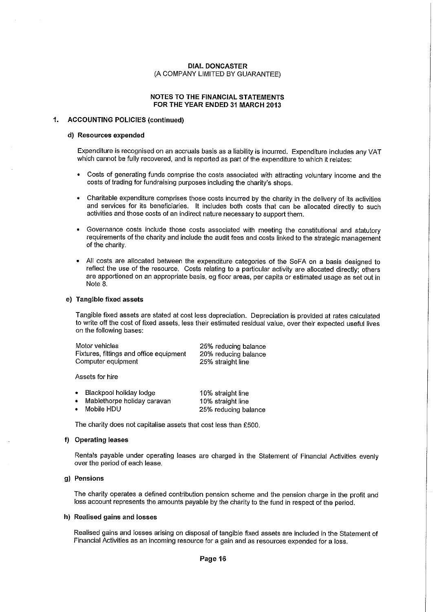#### NOTES TO THE FINANCIAL STATEMENTS FOR THE YEAR ENDED 31 MARCH 2013

#### 1. ACCOUNTING POLICIES (continued)

#### d) Resources expended

Expenditure is recognised on an accruals basis as a liability is incurred. Expenditure includes any VAT which cannot be fully recovered, and is reported as part of the expenditure to which it relates:

- Costs of generating funds comprise the costs associated with attracting voluntary income and the costs of trading for fundraising purposes including the charity's shops.
- Charitable expenditure comprises those costs incurred by the charity in the delivery of its activities and services for its beneficiaries. It includes both costs that can be allocated directly to such activities and those costs of an indirect nature necessary to support them.
- Governance costs include those costs associated with meeting the constitutional and statutory requirements of the charity and include the audit fees and costs linked to the strategic management of the charity.
- All costs are allocated between the expenditure categories of the SoFA on a basis designed to reflect the use of the resource. Costs relating to a particular activity are allocated directly; others are apportioned on an appropriate basis, eg floor areas, per capita or estimated usage as set out in Note 8.

#### e) Tangible fixed assets

Tangible fixed assets are stated at cost less depreciation. Depreciation is provided at rates calculated to write off the cost of fixed assets, less their estimated residual value, over their expected useful lives on the following bases:

| Motor vehicles                          | 25% reducing balance |
|-----------------------------------------|----------------------|
| Fixtures, fittings and office equipment | 20% reducing balance |
| Computer equipment                      | 25% straight line    |

Assets for hire

| $\bullet$ | Blackpool holiday lodge     | 10% straight line    |
|-----------|-----------------------------|----------------------|
| $\bullet$ | Mablethorpe holiday caravan | 10% straight line    |
| $\bullet$ | Mobile HDU                  | 25% reducing balance |

The charity does not capitalise assets that cost less than £500.

#### f) Operating leases

Rentals payable under operating leases are charged in the Statement of Financial Activities evenly over the period of each lease.

#### g) Pensions

The charity operates a defined contribution pension scheme and the pension charge in the profit and loss account represents the amounts payable by the charity to the fund in respect of the period.

#### h) Realised gains and losses

Realised gains and losses arising on disposal of tangible fixed assets are included in the Statement of Financial Activities as an incoming resource for a gain and as resources expended for a loss.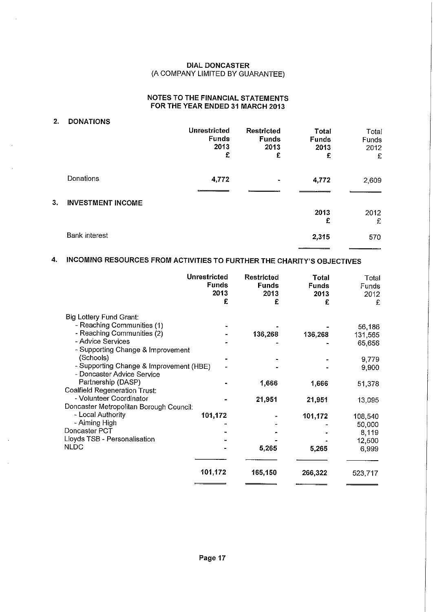# NOTES TO THE FINANCIAL STATEMENTS FOR THE YEAR ENDED 31 MARCH 2013

| 2. | <b>DONATIONS</b>         |                                           |                                                |                                           |                             |
|----|--------------------------|-------------------------------------------|------------------------------------------------|-------------------------------------------|-----------------------------|
|    |                          | Unrestricted<br><b>Funds</b><br>2013<br>£ | <b>Restricted</b><br><b>Funds</b><br>2013<br>£ | <b>Total</b><br><b>Funds</b><br>2013<br>£ | Total<br>Funds<br>2012<br>£ |
|    | Donations                | 4,772                                     | $\blacksquare$                                 | 4,772                                     | 2,609                       |
| 3. | <b>INVESTMENT INCOME</b> |                                           |                                                |                                           |                             |
|    |                          |                                           |                                                | 2013<br>£                                 | 2012<br>£                   |
|    | <b>Bank</b> interest     |                                           |                                                | 2,315                                     | 570                         |

# 4. INCOMING RESOURCES FROM ACTIVITIES TO FURTHER THE CHARITY'S OBJECTIVES

|                                                                       | <b>Unrestricted</b><br><b>Funds</b><br>2013<br>£ | Restricted<br><b>Funds</b><br>2013<br>£ | Total<br><b>Funds</b><br>2013<br>£ | Total<br>Funds<br>2012<br>£ |
|-----------------------------------------------------------------------|--------------------------------------------------|-----------------------------------------|------------------------------------|-----------------------------|
| Big Lottery Fund Grant:                                               |                                                  |                                         |                                    |                             |
| - Reaching Communities (1)                                            |                                                  |                                         |                                    | 56,186                      |
| - Reaching Communities (2)                                            |                                                  | 136,268                                 | 136,268                            | 131,565                     |
| - Advice Services<br>- Supporting Change & Improvement                |                                                  |                                         |                                    | 65,656                      |
| (Schools)                                                             |                                                  |                                         |                                    | 9,779                       |
| - Supporting Change & Improvement (HBE)<br>- Doncaster Advice Service |                                                  |                                         |                                    | 9,900                       |
| Partnership (DASP)<br><b>Coalfield Regeneration Trust:</b>            |                                                  | 1,666                                   | 1,666                              | 51,378                      |
| - Volunteer Coordinator                                               |                                                  | 21,951                                  | 21,951                             | 13,095                      |
| Doncaster Metropolitan Borough Council:                               |                                                  |                                         |                                    |                             |
| - Local Authority                                                     | 101,172                                          |                                         | 101,172                            | 108,540                     |
| - Aiming High                                                         |                                                  |                                         |                                    | 50,000                      |
| Doncaster PCT                                                         |                                                  |                                         |                                    | 8,119                       |
| Lloyds TSB - Personalisation                                          |                                                  |                                         |                                    | 12,500                      |
| <b>NLDC</b>                                                           |                                                  | 5,265                                   | 5,265                              | 6,999                       |
|                                                                       | 101,172                                          | 165,150                                 | 266,322                            | 523,717                     |
|                                                                       |                                                  |                                         |                                    |                             |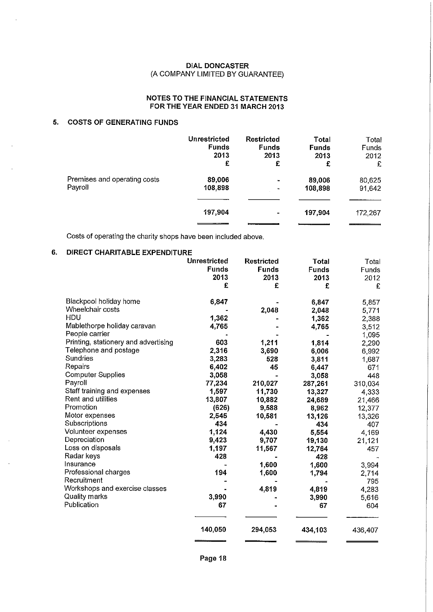### **NOTES TO THE FINANCIAL STATEMENTS FOR THE YEAR ENDED 31 MARCH 2013**

# **5. COSTS OF GENERATING FUNDS**

|                              | Unrestricted | <b>Restricted</b> | Total        | Total   |
|------------------------------|--------------|-------------------|--------------|---------|
|                              | <b>Funds</b> | <b>Funds</b>      | <b>Funds</b> | Funds   |
|                              | 2013         | 2013              | 2013         | 2012    |
|                              | £            | £                 | £            | £       |
| Premises and operating costs | 89,006       | $\blacksquare$    | 89,006       | 80,625  |
| Payroll                      | 108,898      | $\blacksquare$    | 108,898      | 91,642  |
|                              | 197,904      | $\blacksquare$    | 197,904      | 172,267 |

Costs of operating the charity shops have been included above.

# **6. DIRECT CHARITABLE EXPENDITURE**

|                                                                                                                                                                                                                                                                                                                                                                                                                                                                                                                                       | <b>Unrestricted</b><br><b>Funds</b><br>2013<br>£                                                                                                                                 | <b>Restricted</b><br><b>Funds</b><br>2013<br>£                                                                                                | Total<br><b>Funds</b><br>2013<br>£                                                                                                                                                                                   | Total<br><b>Funds</b><br>2012<br>£                                                                                                                                                                                     |
|---------------------------------------------------------------------------------------------------------------------------------------------------------------------------------------------------------------------------------------------------------------------------------------------------------------------------------------------------------------------------------------------------------------------------------------------------------------------------------------------------------------------------------------|----------------------------------------------------------------------------------------------------------------------------------------------------------------------------------|-----------------------------------------------------------------------------------------------------------------------------------------------|----------------------------------------------------------------------------------------------------------------------------------------------------------------------------------------------------------------------|------------------------------------------------------------------------------------------------------------------------------------------------------------------------------------------------------------------------|
| Blackpool holiday home<br>Wheelchair costs<br>HDU<br>Mablethorpe holiday caravan<br>People carrier<br>Printing, stationery and advertising<br>Telephone and postage<br>Sundries<br>Repairs<br><b>Computer Supplies</b><br>Payroll<br>Staff training and expenses<br>Rent and utilities<br>Promotion<br>Motor expenses<br>Subscriptions<br>Volunteer expenses<br>Depreciation<br>Loss on disposals<br>Radar keys<br>Insurance<br>Professional charges<br>Recruitment<br>Workshops and exercise classes<br>Quality marks<br>Publication | 6,847<br>1,362<br>4,765<br>603<br>2,316<br>3,283<br>6,402<br>3,058<br>77,234<br>1,597<br>13,807<br>(626)<br>2,545<br>434<br>1,124<br>9,423<br>1,197<br>428<br>194<br>3,990<br>67 | 2,048<br>1,211<br>3,690<br>528<br>45<br>210,027<br>11,730<br>10,882<br>9,588<br>10,581<br>4,430<br>9,707<br>11,567<br>1,600<br>1,600<br>4,819 | 6,847<br>2,048<br>1,362<br>4,765<br>1,814<br>6,006<br>3,811<br>6,447<br>3,058<br>287,261<br>13,327<br>24,689<br>8,962<br>13,126<br>434<br>5.554<br>19,130<br>12,764<br>428<br>1,600<br>1,794<br>4.819<br>3,990<br>67 | 5,857<br>5,771<br>2,388<br>3.512<br>1,095<br>2,290<br>6,992<br>1687<br>671<br>448<br>310,034<br>4,333<br>21,466<br>12,377<br>13,326<br>407<br>4,169<br>21,121<br>457<br>3,994<br>2,714<br>795<br>4,283<br>5,616<br>604 |
|                                                                                                                                                                                                                                                                                                                                                                                                                                                                                                                                       | 140,050                                                                                                                                                                          | 294,053                                                                                                                                       | 434,103                                                                                                                                                                                                              | 436,407                                                                                                                                                                                                                |

**Page 18**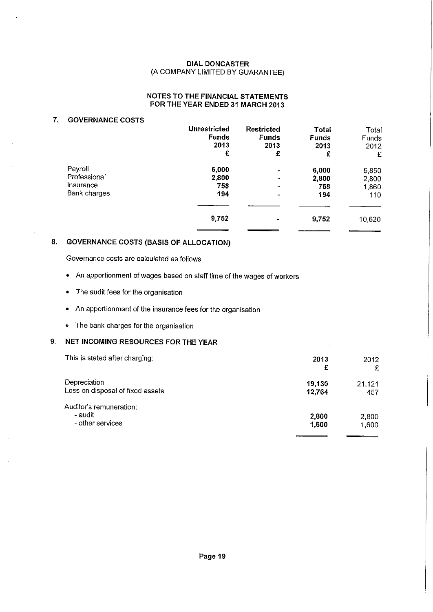# **NOTES TO THE FINANCIAL STATEMENTS FOR THE YEAR ENDED 31 MARCH 2013**

# **7. GOVERNANCE COSTS**

|              | <b>Unrestricted</b> | <b>Restricted</b> | Total        | Total        |
|--------------|---------------------|-------------------|--------------|--------------|
|              | <b>Funds</b>        | <b>Funds</b>      | <b>Funds</b> | <b>Funds</b> |
|              | 2013                | 2013              | 2013         | 2012         |
|              | £                   | £                 | £            | £            |
| Payroll      | 6,000               |                   | 6,000        | 5,850        |
| Professional | 2,800               | $\blacksquare$    | 2,800        | 2,800        |
| Insurance    | 758                 | $\blacksquare$    | 758          | 1,860        |
| Bank charges | 194                 | $\blacksquare$    | 194          | 110          |
|              | 9,752               |                   | 9,752        | 10,620       |

# **8. GOVERNANCE COSTS (BASIS OF ALLOCATION)**

Governance costs are calculated as follows:

- An apportionment of wages based on staff time of the wages of workers
- The audit fees for the organisation
- An apportionment of the insurance fees for the organisation
- The bank charges for the organisation

# **9. NET INCOMING RESOURCES FOR THE YEAR**

| This is stated after charging:                         | 2013<br>£        | 2012<br>£      |
|--------------------------------------------------------|------------------|----------------|
| Depreciation<br>Loss on disposal of fixed assets       | 19.130<br>12.764 | 21,121<br>457  |
| Auditor's remuneration:<br>- audit<br>- other services | 2,800<br>1,600   | 2,800<br>1,600 |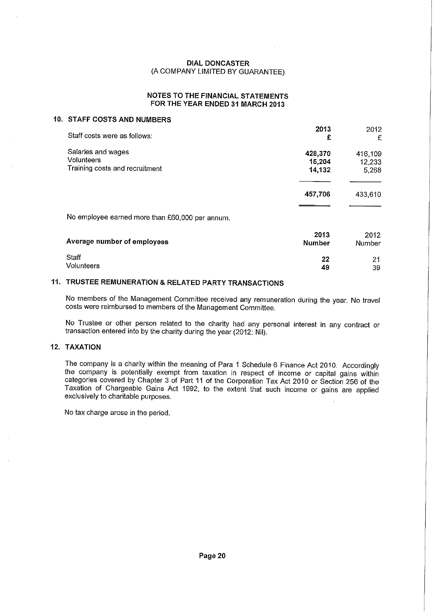### **NOTES TO THE FINANCIAL STATEMENTS FOR THE YEAR ENDED 31 MARCH 2013**

# **10. STAFF COSTS AND NUMBERS**

| Staff costs were as follows:                                              | 2013<br>£                   | 2012<br>£                  |
|---------------------------------------------------------------------------|-----------------------------|----------------------------|
| Salaries and wages<br><b>Volunteers</b><br>Training costs and recruitment | 428,370<br>15,204<br>14,132 | 416,109<br>12,233<br>5,268 |
|                                                                           | 457,706                     | 433,610                    |
| No employee earned more than £60,000 per annum.                           |                             |                            |
| Average number of employees                                               | 2013<br><b>Number</b>       | 2012<br><b>Number</b>      |
| Staff<br>Volunteers                                                       | 22<br>49                    | 21<br>39                   |

# **11. TRUSTEE REMUNERATION & RELATED PARTY TRANSACTIONS**

No members of the Management Committee received any remuneration during the year. No travel costs were reimbursed to members of the Management Committee.

No Trustee or other person related to the charity had any personal interest in any contract or transaction entered into by the charity during the year (2012: Nil).

#### **12. TAXATION**

The company is a charity within the meaning of Para 1 Schedule 6 Finance Act 2010. Accordingly the company is potentially exempt from taxation in respect of income or capital gains within categories covered by Chapter 3 of Part 11 of the Corporation Tax Act 2010 or Section 256 of the Taxation of Chargeable Gains Act 1992, to the extent that such income or gains are applied exclusively to charitable purposes.

No tax charge arose in the period.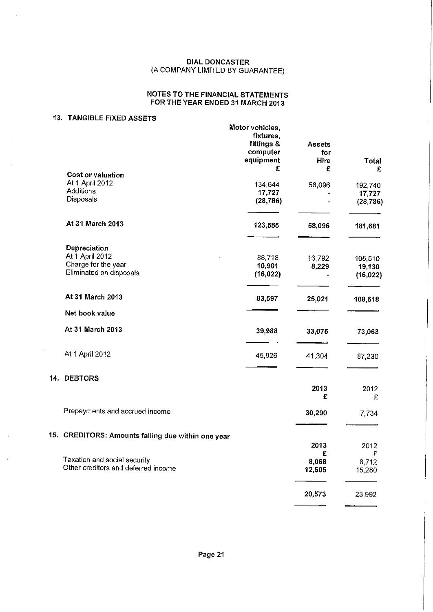# **NOTES TO THE FINANCIAL STATEMENTS FOR THE YEAR ENDED 31 MARCH 2013**

# **13. TANGIBLE FIXED ASSETS**

÷.

 $\hat{\mathbf{r}}$ 

 $\mathcal{L}$ 

|                                                    | Motor vehicles,<br>fixtures,<br>fittings &<br>computer<br>equipment<br>£ | <b>Assets</b><br>for<br>Hire<br>£ | <b>Total</b> |
|----------------------------------------------------|--------------------------------------------------------------------------|-----------------------------------|--------------|
| Cost or valuation                                  |                                                                          |                                   | £            |
| At 1 April 2012                                    | 134,644                                                                  | 58,096                            | 192,740      |
| Additions                                          | 17,727                                                                   |                                   | 17,727       |
| Disposals                                          | (28, 786)                                                                |                                   | (28, 786)    |
| At 31 March 2013                                   | 123,585                                                                  | 58,096                            | 181,681      |
| Depreciation                                       |                                                                          |                                   |              |
| At 1 April 2012                                    | 88,718                                                                   | 16,792                            | 105,510      |
| Charge for the year                                | 10,901                                                                   | 8,229                             | 19,130       |
| Eliminated on disposals                            | (16, 022)                                                                |                                   | (16, 022)    |
| At 31 March 2013                                   | 83,597                                                                   | 25,021                            | 108,618      |
| Net book value                                     |                                                                          |                                   |              |
| At 31 March 2013                                   | 39,988                                                                   | 33,075                            | 73,063       |
| At 1 April 2012                                    | 45,926                                                                   | 41,304                            | 87,230       |
| 14. DEBTORS                                        |                                                                          |                                   |              |
|                                                    |                                                                          | 2013<br>£                         | 2012<br>£    |
| Prepayments and accrued income                     |                                                                          | 30,290                            | 7,734        |
| 15. CREDITORS: Amounts falling due within one year |                                                                          |                                   |              |
|                                                    |                                                                          | 2013<br>£                         | 2012<br>£    |
| Taxation and social security                       |                                                                          | 8,068                             | 8,712        |
| Other creditors and deferred income                |                                                                          | 12,505                            | 15,280       |
|                                                    |                                                                          | 20,573                            | 23,992       |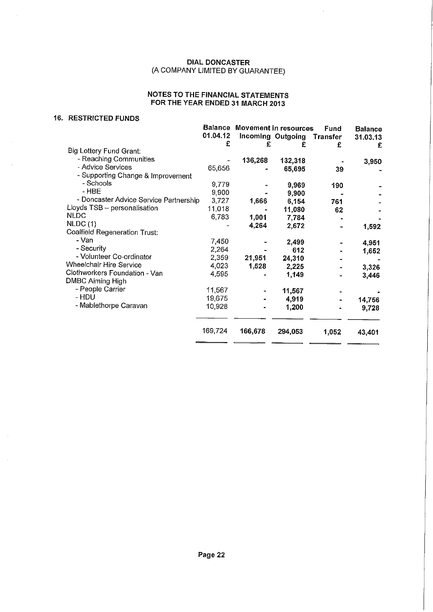# **NOTES TO THE FINANCIAL STATEMENTS FOR THE YEAR ENDED 31 MARCH 2013**

#### **16. RESTRICTED FUNDS**

÷.

|                                        | <b>Balance</b> | Movement in resources |                   | Fund            | <b>Balance</b> |
|----------------------------------------|----------------|-----------------------|-------------------|-----------------|----------------|
|                                        | 01.04.12       |                       | Incoming Outgoing | <b>Transfer</b> | 31.03.13       |
|                                        | £              | £                     | £                 | £               | £              |
| Big Lottery Fund Grant:                |                |                       |                   |                 |                |
| - Reaching Communities                 |                | 136,268               | 132,318           |                 | 3,950          |
| - Advice Services                      | 65,656         |                       | 65,695            | 39              |                |
| - Supporting Change & Improvement      |                |                       |                   |                 |                |
| - Schools                              | 9,779          |                       | 9,969             | 190             |                |
| - HBE                                  | 9.900          |                       | 9,900             |                 |                |
| - Doncaster Advice Service Partnership | 3.727          | 1,666                 | 6,154             | 761             |                |
| Lloyds TSB - personalisation           | 11,018         |                       | 11,080            | 62              |                |
| <b>NLDC</b>                            | 6,783          | 1,001                 | 7,784             |                 |                |
| NLDC(1)                                |                | 4,264                 | 2,672             |                 | 1,592          |
| <b>Coalfield Regeneration Trust:</b>   |                |                       |                   |                 |                |
| - Van                                  | 7,450          |                       | 2,499             |                 | 4,951          |
| - Security                             | 2,264          |                       | 612               |                 | 1,652          |
| - Volunteer Co-ordinator               | 2,359          | 21,951                | 24,310            |                 |                |
| Wheelchair Hire Service                | 4,023          | 1,528                 | 2,225             |                 | 3,326          |
| Clothworkers Foundation - Van          | 4,595          |                       | 1,149             |                 | 3,446          |
| <b>DMBC Aiming High</b>                |                |                       |                   |                 |                |
| - People Carrier                       | 11,567         |                       | 11,567            |                 |                |
| - HDU                                  | 19,675         |                       | 4,919             |                 | 14,756         |
| - Mablethorpe Caravan                  | 10,928         |                       | 1,200             |                 | 9,728          |
|                                        |                |                       |                   |                 |                |
|                                        | 169,724        | 166,678               | 294,053           | 1,052           | 43,401         |
|                                        |                |                       |                   |                 |                |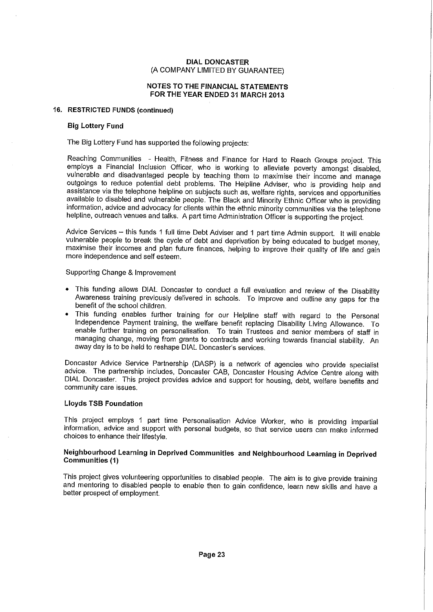### NOTES TO THE FINANCIAL STATEMENTS FOR THE YEAR ENDED 31 MARCH 2013

#### 16. RESTRICTED FUNDS (continued)

#### Big Lottery Fund

The Big Lottery Fund has supported the following projects:

Reaching Communities - Health, Fitness and Finance for Hard to Reach Groups project. This employs a Financial Inclusion Officer, who is working to alleviate poverty amongst disabled, vulnerable and disadvantaged people by teaching them to maximise their income and manage outgoings to reduce potential debt problems. The Helpline Adviser, who is providing help and assistance via the telephone helpline on subjects such as, welfare rights, services and opportunities available to disabled and vulnerable people. The Black and Minority Ethnic Officer who is providing information, advice and advocacy for clients within the ethnic minority communities via the telephone helpline, outreach venues and talks. A part time Administration Officer is supporting the project.

Advice Services — this funds 1 full time Debt Adviser and 1 part time Admin support. It will enable vulnerable people to break the cycle of debt and deprivation by being educated to budget money, maximise their incomes and plan future finances, helping to improve their quality of life and gain more independence and self esteem.

Supporting Change & Improvement

- This funding allows DIAL Doncaster to conduct a full evaluation and review of the Disability Awareness training previously delivered in schools. To improve and outline any gaps for the benefit of the school children.
- This funding enables further training for our Helpline staff with regard to the Personal Independence Payment training, the welfare benefit replacing Disability Living Allowance. To enable further training on personalisation. To train Trustees and senior members of staff in managing change, moving from grants to contracts and working towards financial stability. An away day is to be held to reshape DIAL Doncaster's services.

Doncaster Advice Service Partnership (DASP) is a network of agencies who provide specialist advice. The partnership includes, Doncaster CAB, Doncaster Housing Advice Centre along with DIAL Doncaster. This project provides advice and support for housing, debt, welfare benefits and community care issues.

### Lloyds TSB Foundation

This project employs 1 part time Personalisation Advice Worker, who is providing impartial information, advice and support with personal budgets, so that service users can make informed choices to enhance their lifestyle.

## Neighbourhood Learning in Deprived Communities and Neighbourhood Learning in Deprived Communities (1)

This project gives volunteering opportunities to disabled people. The aim is to give provide training and mentoring to disabled people to enable then to gain confidence, learn new skills and have a better prospect of employment.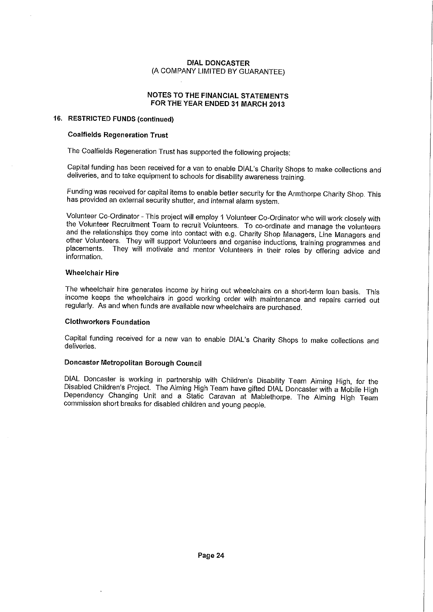### NOTES TO THE FINANCIAL STATEMENTS FOR THE YEAR ENDED 31 MARCH 2013

#### 16. RESTRICTED FUNDS (continued)

#### Coalfields Regeneration Trust

The Coalfields Regeneration Trust has supported the following projects:

Capital funding has been received for a van to enable DIAL's Charity Shops to make collections and deliveries, and to take equipment to schools for disability awareness training.

Funding was received for capital items to enable better security for the Armthorpe Charity Shop. This has provided an external security shutter, and internal alarm system.

Volunteer Co-Ordinator - This project will employ 1 Volunteer Co-Ordinator who will work closely with the Volunteer Recruitment Team to recruit Volunteers. To co-ordinate and manage the volunteers and the relationships they come into contact with e.g. Charity Shop Managers, Line Managers and other Volunteers. They will support Volunteers and organise inductions, training programmes and placements. They will motivate and mentor Volunteers in their roles by offering advice and information.

#### Wheelchair Hire

The wheelchair hire generates income by hiring out wheelchairs on a short-term loan basis. This income keeps the wheelchairs in good working order with maintenance and repairs carried out regularly. As and when funds are available new wheelchairs are purchased.

### Clothworkers Foundation

Capital funding received for a new van to enable DIAL's Charity Shops to make collections and deliveries.

### Doncaster Metropolitan Borough Council

DIAL Doncaster is working in partnership with Children's Disability Team Aiming High, for the Disabled Children's Project. The Aiming High Team have gifted DIAL Doncaster with a Mobile High Dependency Changing Unit and a Static Caravan at Mablethorpe. The Aiming High Team commission short breaks for disabled children and young people.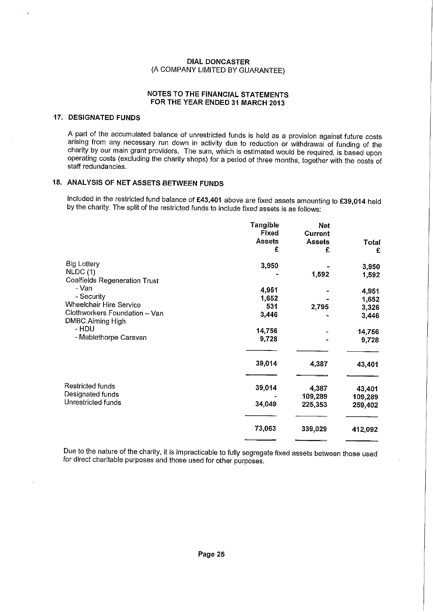### NOTES TO THE FINANCIAL STATEMENTS FOR THE YEAR ENDED 31 MARCH 2013

# 17. DESIGNATED FUNDS

A part of the accumulated balance of unrestricted funds is held as a provision against future costs arising from any necessary run down in activity due to reduction or withdrawal of funding of the charity by our main grant providers. The sum, which is estimated would be required, is based upon operating costs (excluding the charity shops) for a period of three months, together with the costs of staff redundancies.

# 18. ANALYSIS OF NET ASSETS BETWEEN FUNDS

Included in the restricted fund balance of £43,401 above are fixed assets amounting to £39,014 held by the charity. The split of the restricted funds to include fixed assets is as follows:

|                                                   | Tangible<br>Fixed | <b>Net</b><br>Current |         |
|---------------------------------------------------|-------------------|-----------------------|---------|
|                                                   | <b>Assets</b>     | <b>Assets</b>         | Total   |
|                                                   | £                 | £                     | £       |
| <b>Big Lottery</b>                                | 3,950             |                       | 3,950   |
| NLDC(1)<br><b>Coalfields Regeneration Trust</b>   |                   | 1,592                 | 1,592   |
| - Van                                             | 4,951             |                       | 4,951   |
| - Security                                        | 1,652             |                       | 1,652   |
| Wheelchair Hire Service                           | 531               | 2,795                 | 3,326   |
| Clothworkers Foundation - Van<br>DMBC Aiming High | 3,446             |                       | 3,446   |
| - HDU                                             | 14,756            |                       | 14,756  |
| - Mablethorpe Caravan                             | 9,728             |                       | 9,728   |
|                                                   | 39,014            | 4,387                 | 43,401  |
| Restricted funds                                  | 39,014            | 4,387                 | 43,401  |
| Designated funds                                  |                   | 109,289               | 109,289 |
| Unrestricted funds                                | 34,049            | 225,353               | 259,402 |
|                                                   | 73,063            | 339,029               | 412,092 |
|                                                   |                   |                       |         |

Due to the nature of the charity, it is impracticable to fully segregate fixed assets between those used for direct charitable purposes and those used for other purposes.